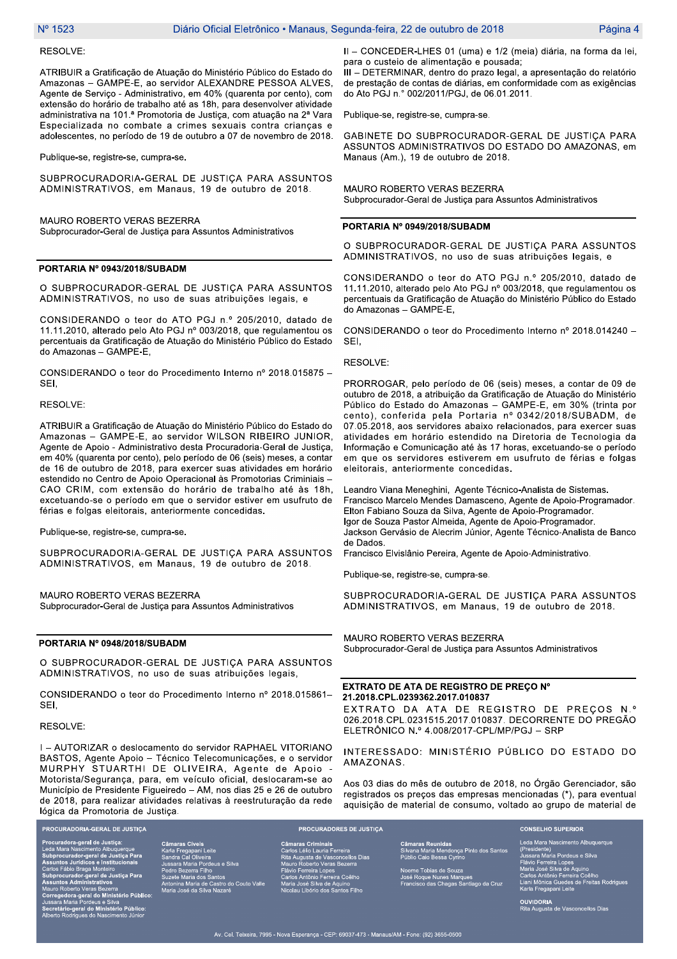#### RESOLVE:

ATRIBUIR a Gratificação de Atuação do Ministério Público do Estado do Amazonas - GAMPE-E, ao servidor ALEXANDRE PESSOA ALVES, Agente de Serviço - Administrativo, em 40% (quarenta por cento), com extensão do horário de trabalho até as 18h, para desenvolver atividade administrativa na 101.ª Promotoria de Justiça, com atuação na 2ª Vara Especializada no combate a crimes sexuais contra criancas e adolescentes, no período de 19 de outubro a 07 de novembro de 2018.

Publique-se, registre-se, cumpra-se.

SUBPROCURADORIA-GERAL DE JUSTIÇA PARA ASSUNTOS ADMINISTRATIVOS, em Manaus, 19 de outubro de 2018.

MAURO ROBERTO VERAS BEZERRA Subprocurador-Geral de Justiça para Assuntos Administrativos

## PORTARIA Nº 0943/2018/SUBADM

O SUBPROCURADOR-GERAL DE JUSTIÇA PARA ASSUNTOS ADMINISTRATIVOS, no uso de suas atribuições legais, e

CONSIDERANDO o teor do ATO PGJ n.º 205/2010, datado de 11.11.2010, alterado pelo Ato PGJ nº 003/2018, que regulamentou os percentuais da Gratificação de Atuação do Ministério Público do Estado do Amazonas - GAMPE-E,

CONSIDERANDO o teor do Procedimento Interno nº 2018.015875 -SEI,

## RESOLVE:

ATRIBUIR a Gratificação de Atuação do Ministério Público do Estado do Amazonas - GAMPE-E, ao servidor WILSON RIBEIRO JUNIOR, Agente de Apoio - Administrativo desta Procuradoria-Geral de Justiça, em 40% (quarenta por cento), pelo período de 06 (seis) meses, a contar de 16 de outubro de 2018, para exercer suas atividades em horário estendido no Centro de Apoio Operacional às Promotorias Criminiais -CAO CRIM, com extensão do horário de trabalho até às 18h, excetuando-se o período em que o servidor estiver em usufruto de férias e folgas eleitorais, anteriormente concedidas.

Publique-se, registre-se, cumpra-se.

SUBPROCURADORIA-GERAL DE JUSTIÇA PARA ASSUNTOS ADMINISTRATIVOS, em Manaus, 19 de outubro de 2018.

MAURO ROBERTO VERAS BEZERRA Subprocurador-Geral de Justiça para Assuntos Administrativos

# PORTARIA Nº 0948/2018/SUBADM

O SUBPROCURADOR-GERAL DE JUSTICA PARA ASSUNTOS ADMINISTRATIVOS, no uso de suas atribuições legais,

CONSIDERANDO o teor do Procedimento Interno nº 2018.015861-SEI,

#### RESOLVE:

I - AUTORIZAR o deslocamento do servidor RAPHAEL VITORIANO BASTOS, Agente Apoio - Técnico Telecomunicações, e o servidor MURPHY STUARTHI DE OLIVEIRA, Agente de Apoio -Motorista/Segurança, para, em veículo oficial, deslocaram-se ao Município de Presidente Figueiredo - AM, nos dias 25 e 26 de outubro de 2018, para realizar atividades relativas à reestruturação da rede lógica da Promotoria de Justiça.

ral de Justiça ara Nascimento Albuquerc<br>curador-geral de Justiça<br>os Jurídicos e Institucio<br>ábio Braga Monteiro<br>curador-geral de Justiça<br>os Administrativos o Roberto Veras Bezerra<br>sgedora-geral do Ministério Público<br>ara Maria Pordeus e Silva<br>etário-geral do Ministério Público:<br>to Rodrigues do Nascimento Júnior

**PROCURADORIA-GERAL DE JUSTIÇA** 

Oliveira<br>ria Pordeus e Silva Santos<br>Castro do Couto Valle .<br>va Nat

maras Criminais<br>Tos Lélio Lauria Ferreira<br>a Augusta de Vasconcellos Dias<br>Luro Roberto Veras Bezerra<br>Vio Ferreira Lopes<br>Irlos Antônio Ferreira Coêlho<br>Aria José Silva de Aquino<br>Colau Libório dos Santos Filho<br>Colau Libório do

**PROCURADORES DE JUSTIÇA** 

eunidas<br>a Mendonça Pinto dos S<br>Bessa Cyrino ,<br>bias de Souza<br>le Nunes Marques<br>das Chagas Santiago da Cruz

Leda Mara Nascin nto Albuquerque (Presidente)<br>Jussara Maria Pordeus e Silva<br>Flávio Ferreira Lopes<br>Maria José Silva de Aquino<br>Carlos Antônio Ferreira Coêlho<br>Liani Mônica Guedes de Freitas Rodrigue

**OUVIDORIA**<br>Rita Augusta de Vasconcellos Dias

**CONSELHO SUPERIOR** 

II - CONCEDER-LHES 01 (uma) e 1/2 (meia) diária, na forma da lei, para o custeio de alimentação e pousada;

III - DETERMINAR, dentro do prazo legal, a apresentação do relatório de prestação de contas de diárias, em conformidade com as exigências do Ato PGJ n.º 002/2011/PGJ, de 06.01.2011.

Publique-se, registre-se, cumpra-se.

GABINETE DO SUBPROCURADOR-GERAL DE JUSTIÇA PARA ASSUNTOS ADMINISTRATIVOS DO ESTADO DO AMAZONAS, em Manaus (Am.), 19 de outubro de 2018.

MAURO ROBERTO VERAS BEZERRA Subprocurador-Geral de Justiça para Assuntos Administrativos

#### PORTARIA Nº 0949/2018/SUBADM

O SUBPROCURADOR-GERAL DE JUSTIÇA PARA ASSUNTOS ADMINISTRATIVOS, no uso de suas atribuições legais, e

CONSIDERANDO o teor do ATO PGJ n.º 205/2010, datado de 11.11.2010, alterado pelo Ato PGJ nº 003/2018, que regulamentou os percentuais da Gratificação de Atuação do Ministério Público do Estado do Amazonas - GAMPE-E,

CONSIDERANDO o teor do Procedimento Interno nº 2018.014240 -SEI,

RESOLVE:

PRORROGAR, pelo período de 06 (seis) meses, a contar de 09 de outubro de 2018, a atribuição da Gratificação de Atuação do Ministério Público do Estado do Amazonas - GAMPE-E, em 30% (trinta por cento), conferida pela Portaria nº 0342/2018/SUBADM, de 07.05.2018, aos servidores abaixo relacionados, para exercer suas atividades em horário estendido na Diretoria de Tecnologia da Informação e Comunicação até às 17 horas, excetuando-se o período em que os servidores estiverem em usufruto de férias e folgas eleitorais, anteriormente concedidas.

Leandro Viana Meneghini, Agente Técnico-Analista de Sistemas. Francisco Marcelo Mendes Damasceno, Agente de Apoio-Programador. Elton Fabiano Souza da Silva, Agente de Apoio-Programador. lgor de Souza Pastor Almeida, Agente de Apoio-Programador. Jackson Gervásio de Alecrim Júnior, Agente Técnico-Analista de Banco de Dados.

Francisco Elvislânio Pereira, Agente de Apoio-Administrativo.

Publique-se, registre-se, cumpra-se.

SUBPROCURADORIA-GERAL DE JUSTICA PARA ASSUNTOS ADMINISTRATIVOS, em Manaus, 19 de outubro de 2018.

MAURO ROBERTO VERAS BEZERRA Subprocurador-Geral de Justiça para Assuntos Administrativos

### EXTRATO DE ATA DE REGISTRO DE PREÇO Nº 21.2018.CPL.0239362.2017.010837

EXTRATO DA ATA DE REGISTRO DE PRECOS N.º 026.2018.CPL.0231515.2017.010837. DECORRENTE DO PREGÃO ELETRÔNICO N.º 4.008/2017-CPL/MP/PGJ - SRP

INTERESSADO: MINISTÉRIO PÚBLICO DO ESTADO DO AMAZONAS.

Aos 03 dias do mês de outubro de 2018, no Órgão Gerenciador, são registrados os preços das empresas mencionadas (\*), para eventual aquisição de material de consumo, voltado ao grupo de material de